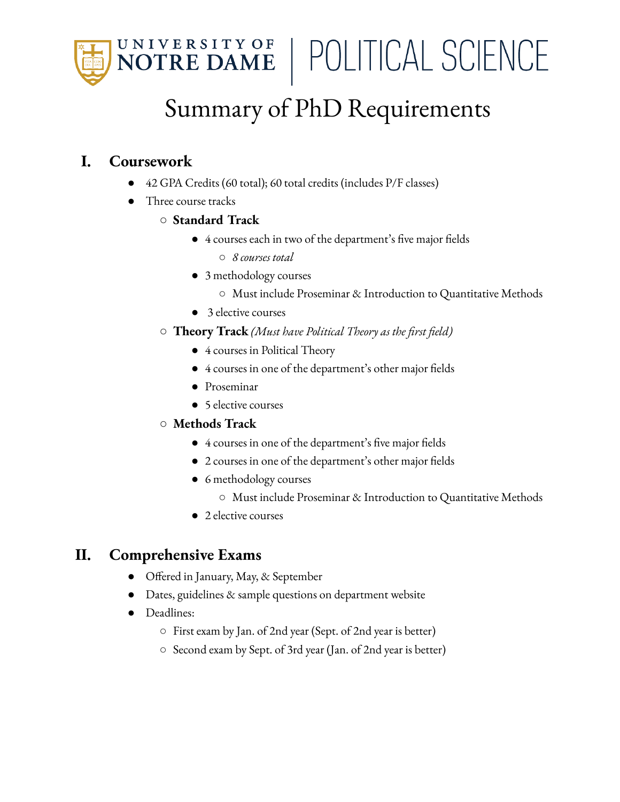

| POLITICAL SCIENCE

# Summary of PhD Requirements

## **I. Coursework**

- 42 GPA Credits (60 total); 60 total credits (includes P/F classes)
- Three course tracks
	- **○ Standard Track**
		- 4 courses each in two of the department's five major fields
			- *○ 8 courses total*
		- 3 methodology courses
			- Must include Proseminar & Introduction to Quantitative Methods
		- 3 elective courses
	- **Theory Track** *(Must have Political Theory as the first field)*
		- 4 courses in Political Theory
		- 4 courses in one of the department's other major fields
		- Proseminar
		- 5 elective courses
	- **○ Methods Track**
		- 4 courses in one of the department's five major fields
		- 2 courses in one of the department's other major fields
		- 6 methodology courses
			- Must include Proseminar & Introduction to Quantitative Methods
		- 2 elective courses

# **II. Comprehensive Exams**

- Offered in January, May, & September
- Dates, guidelines & sample questions on department website
- Deadlines:
	- First exam by Jan. of 2nd year (Sept. of 2nd year is better)
	- Second exam by Sept. of 3rd year (Jan. of 2nd year is better)